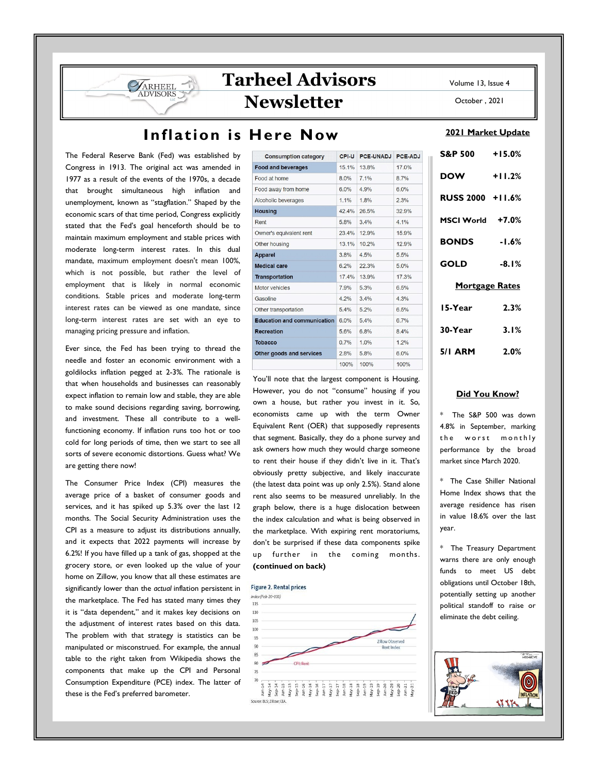## Inflation is Here Now

The Federal Reserve Bank (Fed) was established by Congress in 1913. The original act was amended in 1977 as a result of the events of the 1970s, a decade that brought simultaneous high inflation and unemployment, known as "stagflation." Shaped by the economic scars of that time period, Congress explicitly stated that the Fed's goal henceforth should be to maintain maximum employment and stable prices with moderate long-term interest rates. In this dual mandate, maximum employment doesn't mean 100%, which is not possible, but rather the level of employment that is likely in normal economic conditions. Stable prices and moderate long-term interest rates can be viewed as one mandate, since long-term interest rates are set with an eye to managing pricing pressure and inflation.

ARHEEL

Ever since, the Fed has been trying to thread the needle and foster an economic environment with a goldilocks inflation pegged at 2-3%. The rationale is that when households and businesses can reasonably expect inflation to remain low and stable, they are able to make sound decisions regarding saving, borrowing, and investment. These all contribute to a wellfunctioning economy. If inflation runs too hot or too cold for long periods of time, then we start to see all sorts of severe economic distortions. Guess what? We are getting there now!

The Consumer Price Index (CPI) measures the average price of a basket of consumer goods and services, and it has spiked up 5.3% over the last 12 months. The Social Security Administration uses the CPI as a measure to adjust its distributions annually, and it expects that 2022 payments will increase by 6.2%! If you have filled up a tank of gas, shopped at the grocery store, or even looked up the value of your home on Zillow, you know that all these estimates are significantly lower than the actual inflation persistent in the marketplace. The Fed has stated many times they it is "data dependent," and it makes key decisions on the adjustment of interest rates based on this data. The problem with that strategy is statistics can be manipulated or misconstrued. For example, the annual table to the right taken from Wikipedia shows the components that make up the CPI and Personal Consumption Expenditure (PCE) index. The latter of these is the Fed's preferred barometer.

| <b>Consumption category</b>        | CPI-U | PCE-UNADJ | PCE-ADJ |
|------------------------------------|-------|-----------|---------|
| <b>Food and beverages</b>          | 15.1% | 13.8%     | 17.0%   |
| Food at home                       | 8.0%  | 7.1%      | 8.7%    |
| Food away from home                | 6.0%  | 4.9%      | 6.0%    |
| Alcoholic beverages                | 1.1%  | 1.8%      | 2.3%    |
| <b>Housing</b>                     | 42.4% | 26.5%     | 32.9%   |
| Rent                               | 5.8%  | 3.4%      | 4.1%    |
| Owner's equivalent rent            | 23.4% | 12.9%     | 15.9%   |
| Other housing                      | 13.1% | 10.2%     | 12.9%   |
| <b>Apparel</b>                     | 3.8%  | 4.5%      | 5.5%    |
| <b>Medical care</b>                | 6.2%  | 22.3%     | 5.0%    |
| <b>Transportation</b>              | 17.4% | 13.9%     | 17.3%   |
| Motor vehicles                     | 7.9%  | 5.3%      | 6.5%    |
| Gasoline                           | 4.2%  | 3.4%      | 4.3%    |
| Other transportation               | 5.4%  | 5.2%      | 6.5%    |
| <b>Education and communication</b> | 6.0%  | 5.4%      | 6.7%    |
| <b>Recreation</b>                  | 5.6%  | 6.8%      | 8.4%    |
| <b>Tobacco</b>                     | 0.7%  | 1.0%      | 1.2%    |
| Other goods and services           | 2.8%  | 5.8%      | 6.0%    |
|                                    | 100%  | 100%      | 100%    |

You'll note that the largest component is Housing. However, you do not "consume" housing if you own a house, but rather you invest in it. So, economists came up with the term Owner Equivalent Rent (OER) that supposedly represents that segment. Basically, they do a phone survey and ask owners how much they would charge someone to rent their house if they didn't live in it. That's obviously pretty subjective, and likely inaccurate (the latest data point was up only 2.5%). Stand alone rent also seems to be measured unreliably. In the graph below, there is a huge dislocation between the index calculation and what is being observed in the marketplace. With expiring rent moratoriums, don't be surprised if these data components spike up further in the coming months. (continued on back)

#### **Figure 2. Rental prices**



Volume 13, Issue 4

October , 2021

#### 2021 Market Update

| S&P 500 +15.0%        |          |  |  |
|-----------------------|----------|--|--|
| <b>DOW</b>            | $+11.2%$ |  |  |
| RUSS 2000 +11.6%      |          |  |  |
| MSCI World +7.0%      |          |  |  |
| <b>BONDS</b> -1.6%    |          |  |  |
| GOLD                  | $-8.1%$  |  |  |
| <b>Mortgage Rates</b> |          |  |  |
| 15-Year               | 2.3%     |  |  |
| 30-Year               | 3.1%     |  |  |
| 5/1 ARM 2.0%          |          |  |  |

### Did You Know?

The S&P 500 was down 4.8% in September, marking the worst monthly performance by the broad market since March 2020.

\* The Case Shiller National Home Index shows that the average residence has risen in value 18.6% over the last year.

\* The Treasury Department warns there are only enough funds to meet US debt obligations until October 18th, potentially setting up another political standoff to raise or eliminate the debt ceiling.